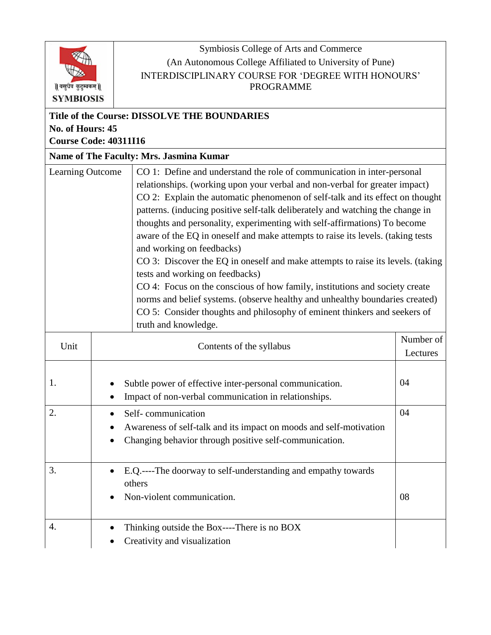|                                                  |  | Symbiosis College of Arts and Commerce                                                                         |    |  |  |
|--------------------------------------------------|--|----------------------------------------------------------------------------------------------------------------|----|--|--|
|                                                  |  | (An Autonomous College Affiliated to University of Pune)                                                       |    |  |  |
|                                                  |  | INTERDISCIPLINARY COURSE FOR 'DEGREE WITH HONOURS'                                                             |    |  |  |
| वसुधैव कुटुम्बकम्                                |  | <b>PROGRAMME</b>                                                                                               |    |  |  |
| <b>SYMBIOSIS</b>                                 |  |                                                                                                                |    |  |  |
| Title of the Course: DISSOLVE THE BOUNDARIES     |  |                                                                                                                |    |  |  |
| No. of Hours: 45<br><b>Course Code: 40311I16</b> |  |                                                                                                                |    |  |  |
| Name of The Faculty: Mrs. Jasmina Kumar          |  |                                                                                                                |    |  |  |
|                                                  |  | CO 1: Define and understand the role of communication in inter-personal                                        |    |  |  |
| Learning Outcome                                 |  | relationships. (working upon your verbal and non-verbal for greater impact)                                    |    |  |  |
|                                                  |  | CO 2: Explain the automatic phenomenon of self-talk and its effect on thought                                  |    |  |  |
|                                                  |  | patterns. (inducing positive self-talk deliberately and watching the change in                                 |    |  |  |
|                                                  |  | thoughts and personality, experimenting with self-affirmations) To become                                      |    |  |  |
|                                                  |  | aware of the EQ in oneself and make attempts to raise its levels. (taking tests                                |    |  |  |
|                                                  |  | and working on feedbacks)                                                                                      |    |  |  |
|                                                  |  | CO 3: Discover the EQ in oneself and make attempts to raise its levels. (taking                                |    |  |  |
|                                                  |  | tests and working on feedbacks)<br>CO 4: Focus on the conscious of how family, institutions and society create |    |  |  |
|                                                  |  | norms and belief systems. (observe healthy and unhealthy boundaries created)                                   |    |  |  |
|                                                  |  | CO 5: Consider thoughts and philosophy of eminent thinkers and seekers of                                      |    |  |  |
|                                                  |  | truth and knowledge.                                                                                           |    |  |  |
| Unit                                             |  | Contents of the syllabus                                                                                       |    |  |  |
|                                                  |  |                                                                                                                |    |  |  |
|                                                  |  |                                                                                                                |    |  |  |
| 1.                                               |  | Subtle power of effective inter-personal communication.                                                        | 04 |  |  |
|                                                  |  | Impact of non-verbal communication in relationships.                                                           |    |  |  |
| 2.                                               |  | Self-communication                                                                                             | 04 |  |  |
|                                                  |  | Awareness of self-talk and its impact on moods and self-motivation                                             |    |  |  |
|                                                  |  | Changing behavior through positive self-communication.                                                         |    |  |  |
| 3.                                               |  | E.Q.----The doorway to self-understanding and empathy towards                                                  |    |  |  |
|                                                  |  | others                                                                                                         |    |  |  |
|                                                  |  | Non-violent communication.                                                                                     | 08 |  |  |
| 4.                                               |  | Thinking outside the Box----There is no BOX                                                                    |    |  |  |
|                                                  |  | Creativity and visualization                                                                                   |    |  |  |